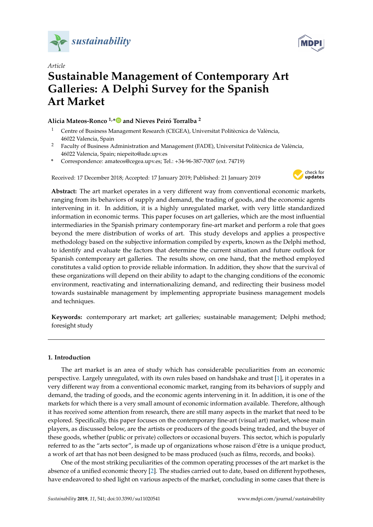



# *Article* **Sustainable Management of Contemporary Art Galleries: A Delphi Survey for the Spanish Art Market**

# **Alicia Mateos-Ronco 1,[\\*](https://orcid.org/0000-0002-1185-1885) and Nieves Peiró Torralba <sup>2</sup>**

- <sup>1</sup> Centre of Business Management Research (CEGEA), Universitat Politècnica de València, 46022 Valencia, Spain
- <sup>2</sup> Faculty of Business Administration and Management (FADE), Universitat Politècnica de València, 46022 Valencia, Spain; niepeito@ade.upv.es
- **\*** Correspondence: amateos@cegea.upv.es; Tel.: +34-96-387-7007 (ext. 74719)

Received: 17 December 2018; Accepted: 17 January 2019; Published: 21 January 2019



**Abstract:** The art market operates in a very different way from conventional economic markets, ranging from its behaviors of supply and demand, the trading of goods, and the economic agents intervening in it. In addition, it is a highly unregulated market, with very little standardized information in economic terms. This paper focuses on art galleries, which are the most influential intermediaries in the Spanish primary contemporary fine-art market and perform a role that goes beyond the mere distribution of works of art. This study develops and applies a prospective methodology based on the subjective information compiled by experts, known as the Delphi method, to identify and evaluate the factors that determine the current situation and future outlook for Spanish contemporary art galleries. The results show, on one hand, that the method employed constitutes a valid option to provide reliable information. In addition, they show that the survival of these organizations will depend on their ability to adapt to the changing conditions of the economic environment, reactivating and internationalizing demand, and redirecting their business model towards sustainable management by implementing appropriate business management models and techniques.

**Keywords:** contemporary art market; art galleries; sustainable management; Delphi method; foresight study

# **1. Introduction**

The art market is an area of study which has considerable peculiarities from an economic perspective. Largely unregulated, with its own rules based on handshake and trust [\[1\]](#page-13-0), it operates in a very different way from a conventional economic market, ranging from its behaviors of supply and demand, the trading of goods, and the economic agents intervening in it. In addition, it is one of the markets for which there is a very small amount of economic information available. Therefore, although it has received some attention from research, there are still many aspects in the market that need to be explored. Specifically, this paper focuses on the contemporary fine-art (visual art) market, whose main players, as discussed below, are the artists or producers of the goods being traded, and the buyer of these goods, whether (public or private) collectors or occasional buyers. This sector, which is popularly referred to as the "arts sector", is made up of organizations whose raison d'être is a unique product, a work of art that has not been designed to be mass produced (such as films, records, and books).

One of the most striking peculiarities of the common operating processes of the art market is the absence of a unified economic theory [\[2\]](#page-13-1). The studies carried out to date, based on different hypotheses, have endeavored to shed light on various aspects of the market, concluding in some cases that there is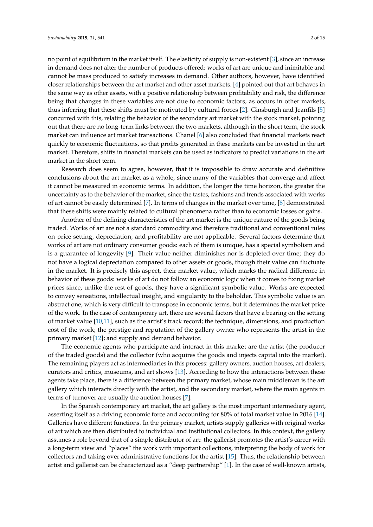no point of equilibrium in the market itself. The elasticity of supply is non-existent [\[3\]](#page-13-2), since an increase in demand does not alter the number of products offered: works of art are unique and inimitable and cannot be mass produced to satisfy increases in demand. Other authors, however, have identified closer relationships between the art market and other asset markets. [\[4\]](#page-13-3) pointed out that art behaves in the same way as other assets, with a positive relationship between profitability and risk, the difference being that changes in these variables are not due to economic factors, as occurs in other markets, thus inferring that these shifts must be motivated by cultural forces [\[2\]](#page-13-1). Ginsburgh and Jeanfils [\[5\]](#page-13-4) concurred with this, relating the behavior of the secondary art market with the stock market, pointing out that there are no long-term links between the two markets, although in the short term, the stock market can influence art market transactions. Chanel [\[6\]](#page-13-5) also concluded that financial markets react quickly to economic fluctuations, so that profits generated in these markets can be invested in the art market. Therefore, shifts in financial markets can be used as indicators to predict variations in the art market in the short term.

Research does seem to agree, however, that it is impossible to draw accurate and definitive conclusions about the art market as a whole, since many of the variables that converge and affect it cannot be measured in economic terms. In addition, the longer the time horizon, the greater the uncertainty as to the behavior of the market, since the tastes, fashions and trends associated with works of art cannot be easily determined [\[7\]](#page-13-6). In terms of changes in the market over time, [\[8\]](#page-13-7) demonstrated that these shifts were mainly related to cultural phenomena rather than to economic losses or gains.

Another of the defining characteristics of the art market is the unique nature of the goods being traded. Works of art are not a standard commodity and therefore traditional and conventional rules on price setting, depreciation, and profitability are not applicable. Several factors determine that works of art are not ordinary consumer goods: each of them is unique, has a special symbolism and is a guarantee of longevity [\[9\]](#page-13-8). Their value neither diminishes nor is depleted over time; they do not have a logical depreciation compared to other assets or goods, though their value can fluctuate in the market. It is precisely this aspect, their market value, which marks the radical difference in behavior of these goods: works of art do not follow an economic logic when it comes to fixing market prices since, unlike the rest of goods, they have a significant symbolic value. Works are expected to convey sensations, intellectual insight, and singularity to the beholder. This symbolic value is an abstract one, which is very difficult to transpose in economic terms, but it determines the market price of the work. In the case of contemporary art, there are several factors that have a bearing on the setting of market value [\[10](#page-13-9)[,11\]](#page-13-10), such as the artist's track record; the technique, dimensions, and production cost of the work; the prestige and reputation of the gallery owner who represents the artist in the primary market [\[12\]](#page-13-11); and supply and demand behavior.

The economic agents who participate and interact in this market are the artist (the producer of the traded goods) and the collector (who acquires the goods and injects capital into the market). The remaining players act as intermediaries in this process: gallery owners, auction houses, art dealers, curators and critics, museums, and art shows [\[13\]](#page-13-12). According to how the interactions between these agents take place, there is a difference between the primary market, whose main middleman is the art gallery which interacts directly with the artist, and the secondary market, where the main agents in terms of turnover are usually the auction houses [\[7\]](#page-13-6).

In the Spanish contemporary art market, the art gallery is the most important intermediary agent, asserting itself as a driving economic force and accounting for 80% of total market value in 2016 [\[14\]](#page-13-13). Galleries have different functions. In the primary market, artists supply galleries with original works of art which are then distributed to individual and institutional collectors. In this context, the gallery assumes a role beyond that of a simple distributor of art: the gallerist promotes the artist's career with a long-term view and "places" the work with important collections, interpreting the body of work for collectors and taking over administrative functions for the artist [\[15\]](#page-13-14). Thus, the relationship between artist and gallerist can be characterized as a "deep partnership" [\[1\]](#page-13-0). In the case of well-known artists,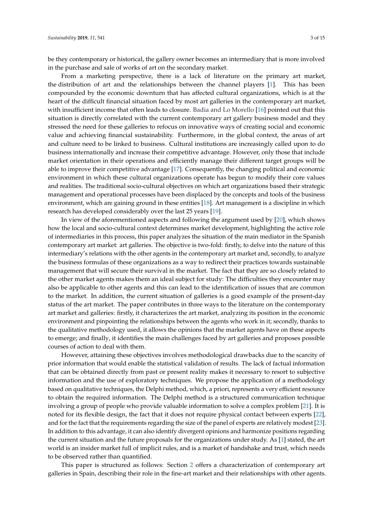be they contemporary or historical, the gallery owner becomes an intermediary that is more involved in the purchase and sale of works of art on the secondary market.

From a marketing perspective, there is a lack of literature on the primary art market, the distribution of art and the relationships between the channel players [\[1\]](#page-13-0). This has been compounded by the economic downturn that has affected cultural organizations, which is at the heart of the difficult financial situation faced by most art galleries in the contemporary art market, with insufficient income that often leads to closure. Badia and Lo Morello [\[16\]](#page-13-15) pointed out that this situation is directly correlated with the current contemporary art gallery business model and they stressed the need for these galleries to refocus on innovative ways of creating social and economic value and achieving financial sustainability. Furthermore, in the global context, the areas of art and culture need to be linked to business. Cultural institutions are increasingly called upon to do business internationally and increase their competitive advantage. However, only those that include market orientation in their operations and efficiently manage their different target groups will be able to improve their competitive advantage [\[17\]](#page-13-16). Consequently, the changing political and economic environment in which these cultural organizations operate has begun to modify their core values and realities. The traditional socio-cultural objectives on which art organizations based their strategic management and operational processes have been displaced by the concepts and tools of the business environment, which are gaining ground in these entities [\[18\]](#page-13-17). Art management is a discipline in which research has developed considerably over the last 25 years [\[19\]](#page-13-18).

In view of the aforementioned aspects and following the argument used by [\[20\]](#page-13-19), which shows how the local and socio-cultural context determines market development, highlighting the active role of intermediaries in this process, this paper analyzes the situation of the main mediator in the Spanish contemporary art market: art galleries. The objective is two-fold: firstly, to delve into the nature of this intermediary's relations with the other agents in the contemporary art market and, secondly, to analyze the business formulas of these organizations as a way to redirect their practices towards sustainable management that will secure their survival in the market. The fact that they are so closely related to the other market agents makes them an ideal subject for study: The difficulties they encounter may also be applicable to other agents and this can lead to the identification of issues that are common to the market. In addition, the current situation of galleries is a good example of the present-day status of the art market. The paper contributes in three ways to the literature on the contemporary art market and galleries: firstly, it characterizes the art market, analyzing its position in the economic environment and pinpointing the relationships between the agents who work in it; secondly, thanks to the qualitative methodology used, it allows the opinions that the market agents have on these aspects to emerge; and finally, it identifies the main challenges faced by art galleries and proposes possible courses of action to deal with them.

However, attaining these objectives involves methodological drawbacks due to the scarcity of prior information that would enable the statistical validation of results. The lack of factual information that can be obtained directly from past or present reality makes it necessary to resort to subjective information and the use of exploratory techniques. We propose the application of a methodology based on qualitative techniques, the Delphi method, which, a priori, represents a very efficient resource to obtain the required information. The Delphi method is a structured communication technique involving a group of people who provide valuable information to solve a complex problem [\[21\]](#page-13-20). It is noted for its flexible design, the fact that it does not require physical contact between experts [\[22\]](#page-13-21), and for the fact that the requirements regarding the size of the panel of experts are relatively modest [\[23\]](#page-13-22). In addition to this advantage, it can also identify divergent opinions and harmonize positions regarding the current situation and the future proposals for the organizations under study. As [\[1\]](#page-13-0) stated, the art world is an insider market full of implicit rules, and is a market of handshake and trust, which needs to be observed rather than quantified.

This paper is structured as follows: Section [2](#page-3-0) offers a characterization of contemporary art galleries in Spain, describing their role in the fine-art market and their relationships with other agents.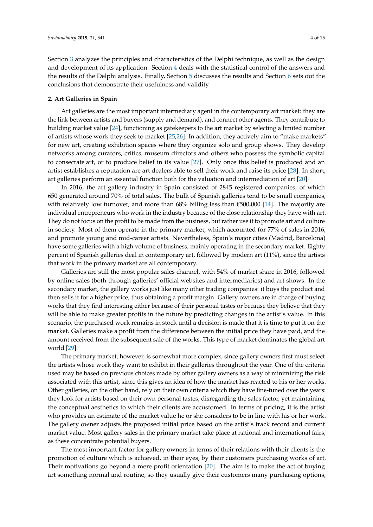Section [3](#page-4-0) analyzes the principles and characteristics of the Delphi technique, as well as the design and development of its application. Section [4](#page-6-0) deals with the statistical control of the answers and the results of the Delphi analysis. Finally, Section [5](#page-8-0) discusses the results and Section [6](#page-11-0) sets out the conclusions that demonstrate their usefulness and validity.

## <span id="page-3-0"></span>**2. Art Galleries in Spain**

Art galleries are the most important intermediary agent in the contemporary art market: they are the link between artists and buyers (supply and demand), and connect other agents. They contribute to building market value [\[24\]](#page-14-0), functioning as gatekeepers to the art market by selecting a limited number of artists whose work they seek to market [\[25](#page-14-1)[,26\]](#page-14-2). In addition, they actively aim to "make markets" for new art, creating exhibition spaces where they organize solo and group shows. They develop networks among curators, critics, museum directors and others who possess the symbolic capital to consecrate art, or to produce belief in its value [\[27\]](#page-14-3). Only once this belief is produced and an artist establishes a reputation are art dealers able to sell their work and raise its price [\[28\]](#page-14-4). In short, art galleries perform an essential function both for the valuation and intermediation of art [\[20\]](#page-13-19).

In 2016, the art gallery industry in Spain consisted of 2845 registered companies, of which 650 generated around 70% of total sales. The bulk of Spanish galleries tend to be small companies, with relatively low turnover, and more than  $68\%$  billing less than  $6500,000$  [\[14\]](#page-13-13). The majority are individual entrepreneurs who work in the industry because of the close relationship they have with art. They do not focus on the profit to be made from the business, but rather use it to promote art and culture in society. Most of them operate in the primary market, which accounted for 77% of sales in 2016, and promote young and mid-career artists. Nevertheless, Spain's major cities (Madrid, Barcelona) have some galleries with a high volume of business, mainly operating in the secondary market. Eighty percent of Spanish galleries deal in contemporary art, followed by modern art (11%), since the artists that work in the primary market are all contemporary.

Galleries are still the most popular sales channel, with 54% of market share in 2016, followed by online sales (both through galleries' official websites and intermediaries) and art shows. In the secondary market, the gallery works just like many other trading companies: it buys the product and then sells it for a higher price, thus obtaining a profit margin. Gallery owners are in charge of buying works that they find interesting either because of their personal tastes or because they believe that they will be able to make greater profits in the future by predicting changes in the artist's value. In this scenario, the purchased work remains in stock until a decision is made that it is time to put it on the market. Galleries make a profit from the difference between the initial price they have paid, and the amount received from the subsequent sale of the works. This type of market dominates the global art world [\[29\]](#page-14-5).

The primary market, however, is somewhat more complex, since gallery owners first must select the artists whose work they want to exhibit in their galleries throughout the year. One of the criteria used may be based on previous choices made by other gallery owners as a way of minimizing the risk associated with this artist, since this gives an idea of how the market has reacted to his or her works. Other galleries, on the other hand, rely on their own criteria which they have fine-tuned over the years: they look for artists based on their own personal tastes, disregarding the sales factor, yet maintaining the conceptual aesthetics to which their clients are accustomed. In terms of pricing, it is the artist who provides an estimate of the market value he or she considers to be in line with his or her work. The gallery owner adjusts the proposed initial price based on the artist's track record and current market value. Most gallery sales in the primary market take place at national and international fairs, as these concentrate potential buyers.

The most important factor for gallery owners in terms of their relations with their clients is the promotion of culture which is achieved, in their eyes, by their customers purchasing works of art. Their motivations go beyond a mere profit orientation [\[20\]](#page-13-19). The aim is to make the act of buying art something normal and routine, so they usually give their customers many purchasing options,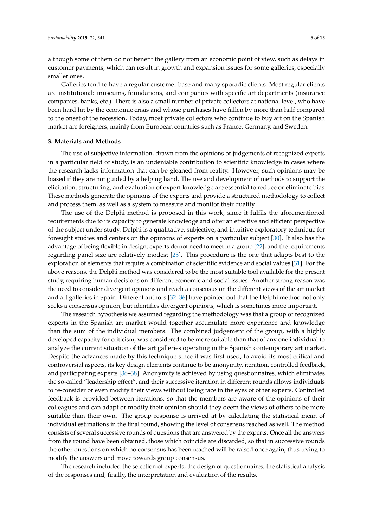although some of them do not benefit the gallery from an economic point of view, such as delays in customer payments, which can result in growth and expansion issues for some galleries, especially smaller ones.

Galleries tend to have a regular customer base and many sporadic clients. Most regular clients are institutional: museums, foundations, and companies with specific art departments (insurance companies, banks, etc.). There is also a small number of private collectors at national level, who have been hard hit by the economic crisis and whose purchases have fallen by more than half compared to the onset of the recession. Today, most private collectors who continue to buy art on the Spanish market are foreigners, mainly from European countries such as France, Germany, and Sweden.

#### <span id="page-4-0"></span>**3. Materials and Methods**

The use of subjective information, drawn from the opinions or judgements of recognized experts in a particular field of study, is an undeniable contribution to scientific knowledge in cases where the research lacks information that can be gleaned from reality. However, such opinions may be biased if they are not guided by a helping hand. The use and development of methods to support the elicitation, structuring, and evaluation of expert knowledge are essential to reduce or eliminate bias. These methods generate the opinions of the experts and provide a structured methodology to collect and process them, as well as a system to measure and monitor their quality.

The use of the Delphi method is proposed in this work, since it fulfils the aforementioned requirements due to its capacity to generate knowledge and offer an effective and efficient perspective of the subject under study. Delphi is a qualitative, subjective, and intuitive exploratory technique for foresight studies and centers on the opinions of experts on a particular subject [\[30\]](#page-14-6). It also has the advantage of being flexible in design; experts do not need to meet in a group [\[22\]](#page-13-21), and the requirements regarding panel size are relatively modest [\[23\]](#page-13-22). This procedure is the one that adapts best to the exploration of elements that require a combination of scientific evidence and social values [\[31\]](#page-14-7). For the above reasons, the Delphi method was considered to be the most suitable tool available for the present study, requiring human decisions on different economic and social issues. Another strong reason was the need to consider divergent opinions and reach a consensus on the different views of the art market and art galleries in Spain. Different authors [\[32](#page-14-8)[–36\]](#page-14-9) have pointed out that the Delphi method not only seeks a consensus opinion, but identifies divergent opinions, which is sometimes more important.

The research hypothesis we assumed regarding the methodology was that a group of recognized experts in the Spanish art market would together accumulate more experience and knowledge than the sum of the individual members. The combined judgement of the group, with a highly developed capacity for criticism, was considered to be more suitable than that of any one individual to analyze the current situation of the art galleries operating in the Spanish contemporary art market. Despite the advances made by this technique since it was first used, to avoid its most critical and controversial aspects, its key design elements continue to be anonymity, iteration, controlled feedback, and participating experts [\[36–](#page-14-9)[38\]](#page-14-10). Anonymity is achieved by using questionnaires, which eliminates the so-called "leadership effect", and their successive iteration in different rounds allows individuals to re-consider or even modify their views without losing face in the eyes of other experts. Controlled feedback is provided between iterations, so that the members are aware of the opinions of their colleagues and can adapt or modify their opinion should they deem the views of others to be more suitable than their own. The group response is arrived at by calculating the statistical mean of individual estimations in the final round, showing the level of consensus reached as well. The method consists of several successive rounds of questions that are answered by the experts. Once all the answers from the round have been obtained, those which coincide are discarded, so that in successive rounds the other questions on which no consensus has been reached will be raised once again, thus trying to modify the answers and move towards group consensus.

The research included the selection of experts, the design of questionnaires, the statistical analysis of the responses and, finally, the interpretation and evaluation of the results.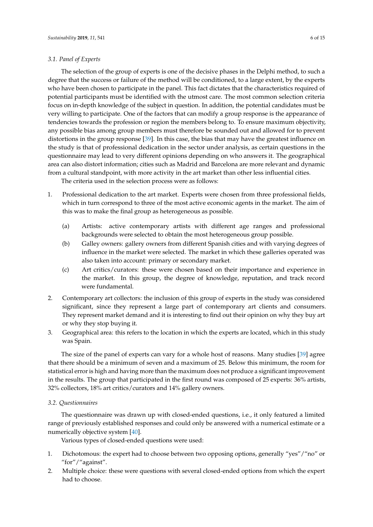## *3.1. Panel of Experts*

The selection of the group of experts is one of the decisive phases in the Delphi method, to such a degree that the success or failure of the method will be conditioned, to a large extent, by the experts who have been chosen to participate in the panel. This fact dictates that the characteristics required of potential participants must be identified with the utmost care. The most common selection criteria focus on in-depth knowledge of the subject in question. In addition, the potential candidates must be very willing to participate. One of the factors that can modify a group response is the appearance of tendencies towards the profession or region the members belong to. To ensure maximum objectivity, any possible bias among group members must therefore be sounded out and allowed for to prevent distortions in the group response [\[39\]](#page-14-11). In this case, the bias that may have the greatest influence on the study is that of professional dedication in the sector under analysis, as certain questions in the questionnaire may lead to very different opinions depending on who answers it. The geographical area can also distort information; cities such as Madrid and Barcelona are more relevant and dynamic from a cultural standpoint, with more activity in the art market than other less influential cities.

The criteria used in the selection process were as follows:

- 1. Professional dedication to the art market. Experts were chosen from three professional fields, which in turn correspond to three of the most active economic agents in the market. The aim of this was to make the final group as heterogeneous as possible.
	- (a) Artists: active contemporary artists with different age ranges and professional backgrounds were selected to obtain the most heterogeneous group possible.
	- (b) Galley owners: gallery owners from different Spanish cities and with varying degrees of influence in the market were selected. The market in which these galleries operated was also taken into account: primary or secondary market.
	- (c) Art critics/curators: these were chosen based on their importance and experience in the market. In this group, the degree of knowledge, reputation, and track record were fundamental.
- 2. Contemporary art collectors: the inclusion of this group of experts in the study was considered significant, since they represent a large part of contemporary art clients and consumers. They represent market demand and it is interesting to find out their opinion on why they buy art or why they stop buying it.
- 3. Geographical area: this refers to the location in which the experts are located, which in this study was Spain.

The size of the panel of experts can vary for a whole host of reasons. Many studies [\[39\]](#page-14-11) agree that there should be a minimum of seven and a maximum of 25. Below this minimum, the room for statistical error is high and having more than the maximum does not produce a significant improvement in the results. The group that participated in the first round was composed of 25 experts: 36% artists, 32% collectors, 18% art critics/curators and 14% gallery owners.

### *3.2. Questionnaires*

The questionnaire was drawn up with closed-ended questions, i.e., it only featured a limited range of previously established responses and could only be answered with a numerical estimate or a numerically objective system [\[40\]](#page-14-12).

Various types of closed-ended questions were used:

- 1. Dichotomous: the expert had to choose between two opposing options, generally "yes"/"no" or "for"/"against".
- 2. Multiple choice: these were questions with several closed-ended options from which the expert had to choose.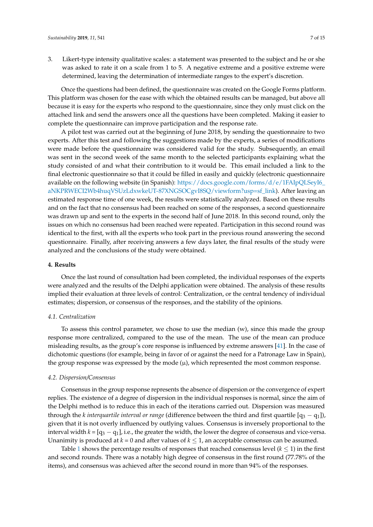3. Likert-type intensity qualitative scales: a statement was presented to the subject and he or she was asked to rate it on a scale from 1 to 5. A negative extreme and a positive extreme were determined, leaving the determination of intermediate ranges to the expert's discretion.

Once the questions had been defined, the questionnaire was created on the Google Forms platform. This platform was chosen for the ease with which the obtained results can be managed, but above all because it is easy for the experts who respond to the questionnaire, since they only must click on the attached link and send the answers once all the questions have been completed. Making it easier to complete the questionnaire can improve participation and the response rate.

A pilot test was carried out at the beginning of June 2018, by sending the questionnaire to two experts. After this test and following the suggestions made by the experts, a series of modifications were made before the questionnaire was considered valid for the study. Subsequently, an email was sent in the second week of the same month to the selected participants explaining what the study consisted of and what their contribution to it would be. This email included a link to the final electronic questionnaire so that it could be filled in easily and quickly (electronic questionnaire available on the following website (in Spanish): [https://docs.google.com/forms/d/e/1FAIpQLSeyI6\\_](https://docs.google.com/forms/d/e/1FAIpQLSeyI6_aNKPRWECI2Wb4huqVSUzLdxwkeUT-87XNGSOCgvI8SQ/viewform?usp=sf_link) [aNKPRWECI2Wb4huqVSUzLdxwkeUT-87XNGSOCgvI8SQ/viewform?usp=sf\\_link\)](https://docs.google.com/forms/d/e/1FAIpQLSeyI6_aNKPRWECI2Wb4huqVSUzLdxwkeUT-87XNGSOCgvI8SQ/viewform?usp=sf_link). After leaving an estimated response time of one week, the results were statistically analyzed. Based on these results and on the fact that no consensus had been reached on some of the responses, a second questionnaire was drawn up and sent to the experts in the second half of June 2018. In this second round, only the issues on which no consensus had been reached were repeated. Participation in this second round was identical to the first, with all the experts who took part in the previous round answering the second questionnaire. Finally, after receiving answers a few days later, the final results of the study were analyzed and the conclusions of the study were obtained.

## <span id="page-6-0"></span>**4. Results**

Once the last round of consultation had been completed, the individual responses of the experts were analyzed and the results of the Delphi application were obtained. The analysis of these results implied their evaluation at three levels of control: Centralization, or the central tendency of individual estimates; dispersion, or consensus of the responses, and the stability of the opinions.

## *4.1. Centralization*

To assess this control parameter, we chose to use the median (w), since this made the group response more centralized, compared to the use of the mean. The use of the mean can produce misleading results, as the group's core response is influenced by extreme answers [\[41\]](#page-14-13). In the case of dichotomic questions (for example, being in favor of or against the need for a Patronage Law in Spain), the group response was expressed by the mode  $(\mu)$ , which represented the most common response.

### *4.2. Dispersion/Consensus*

Consensus in the group response represents the absence of dispersion or the convergence of expert replies. The existence of a degree of dispersion in the individual responses is normal, since the aim of the Delphi method is to reduce this in each of the iterations carried out. Dispersion was measured through the *k interquartile interval or range* (difference between the third and first quartile  $[q_3 - q_1]$ ), given that it is not overly influenced by outlying values. Consensus is inversely proportional to the interval width  $k = [q_3 - q_1]$ , i.e., the greater the width, the lower the degree of consensus and vice-versa. Unanimity is produced at  $k = 0$  and after values of  $k \leq 1$ , an acceptable consensus can be assumed.

Table [1](#page-7-0) shows the percentage results of responses that reached consensus level  $(k \leq 1)$  in the first and second rounds. There was a notably high degree of consensus in the first round (77.78% of the items), and consensus was achieved after the second round in more than 94% of the responses.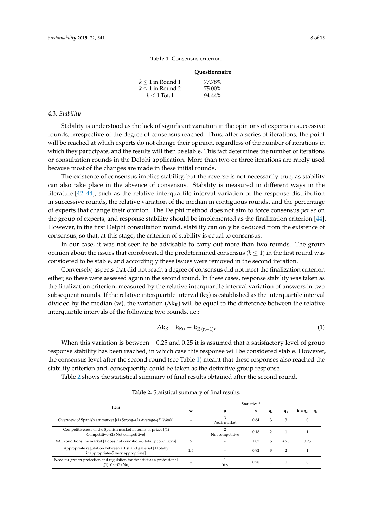|                       | Questionnaire |
|-----------------------|---------------|
| $k \leq 1$ in Round 1 | 77.78%        |
| $k < 1$ in Round 2    | 75.00%        |
| $k \leq 1$ Total      | 94.44%        |

## <span id="page-7-0"></span>*4.3. Stability*

Stability is understood as the lack of significant variation in the opinions of experts in successive rounds, irrespective of the degree of consensus reached. Thus, after a series of iterations, the point will be reached at which experts do not change their opinion, regardless of the number of iterations in which they participate, and the results will then be stable. This fact determines the number of iterations or consultation rounds in the Delphi application. More than two or three iterations are rarely used because most of the changes are made in these initial rounds.

The existence of consensus implies stability, but the reverse is not necessarily true, as stability can also take place in the absence of consensus. Stability is measured in different ways in the literature [\[42–](#page-14-14)[44\]](#page-14-15), such as the relative interquartile interval variation of the response distribution in successive rounds, the relative variation of the median in contiguous rounds, and the percentage of experts that change their opinion. The Delphi method does not aim to force consensus *per se* on the group of experts, and response stability should be implemented as the finalization criterion [\[44\]](#page-14-15). However, in the first Delphi consultation round, stability can only be deduced from the existence of consensus, so that, at this stage, the criterion of stability is equal to consensus.

In our case, it was not seen to be advisable to carry out more than two rounds. The group opinion about the issues that corroborated the predetermined consensus ( $k \leq 1$ ) in the first round was considered to be stable, and accordingly these issues were removed in the second iteration.

Conversely, aspects that did not reach a degree of consensus did not meet the finalization criterion either, so these were assessed again in the second round. In these cases, response stability was taken as the finalization criterion, measured by the relative interquartile interval variation of answers in two subsequent rounds. If the relative interquartile interval  $(k_R)$  is established as the interquartile interval divided by the median (w), the variation  $(\Delta k_R)$  will be equal to the difference between the relative interquartile intervals of the following two rounds, i.e.:

$$
\Delta k_{R} = k_{Rn} - k_{R(n-1)}
$$
\n<sup>(1)</sup>

When this variation is between −0.25 and 0.25 it is assumed that a satisfactory level of group response stability has been reached, in which case this response will be considered stable. However, the consensus level after the second round (see Table [1\)](#page-7-0) meant that these responses also reached the stability criterion and, consequently, could be taken as the definitive group response.

Table [2](#page-8-1) shows the statistical summary of final results obtained after the second round.

| <b>Item</b>                                                                                         | Statistics <sup>*</sup> |                 |      |       |       |                 |
|-----------------------------------------------------------------------------------------------------|-------------------------|-----------------|------|-------|-------|-----------------|
|                                                                                                     | W                       | μ               | s    | $q_3$ | $q_1$ | $k = q_3 - q_1$ |
| Overview of Spanish art market [(1) Strong–(2) Average–(3) Weak]                                    |                         | Weak market     | 0.64 | 3     | 3     |                 |
| Competitiveness of the Spanish market in terms of prices [(1)<br>Competitive–(2) Not competitive]   |                         | Not competitive | 0.48 |       |       |                 |
| VAT conditions the market [1 does not condition–5 totally conditions]                               | 5                       |                 | 1.07 | 5     | 4.25  | 0.75            |
| Appropriate regulation between artist and gallerist [1 totally<br>inappropriate-5 very appropriate] | 2.5                     |                 | 0.92 | 3     | 2     |                 |
| Need for greater protection and regulation for the artist as a professional<br>$[(1)$ Yes- $(2)$ No |                         | Yes             | 0.28 |       |       |                 |

**Table 2.** Statistical summary of final results.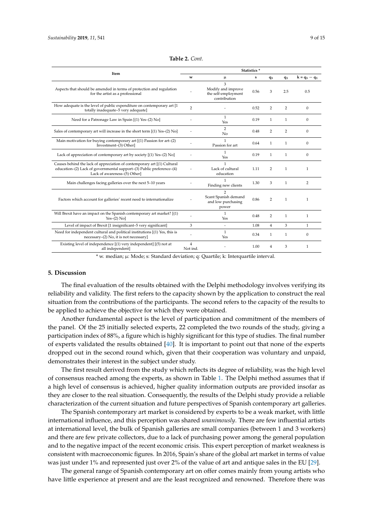<span id="page-8-1"></span>

| Item                                                                                                                                                                             |                            | Statistics <sup>*</sup>                                              |      |                |                |                 |  |
|----------------------------------------------------------------------------------------------------------------------------------------------------------------------------------|----------------------------|----------------------------------------------------------------------|------|----------------|----------------|-----------------|--|
|                                                                                                                                                                                  |                            | μ                                                                    | s    | q <sub>3</sub> | $q_1$          | $k = q_3 - q_1$ |  |
| Aspects that should be amended in terms of protection and regulation<br>for the artist as a professional                                                                         |                            | 3<br>Modify and improve<br>the self-employment<br>contribution       | 0.56 | 3              | 2.5            | 0.5             |  |
| How adequate is the level of public expenditure on contemporary art [1<br>totally inadequate-5 very adequate]                                                                    | $\overline{2}$             |                                                                      | 0.52 | 2              | $\overline{2}$ | $\mathbf{0}$    |  |
| Need for a Patronage Law in Spain [(1) Yes-(2) No]                                                                                                                               |                            | 1<br>Yes                                                             | 0.19 | 1              | $\mathbf{1}$   | $\Omega$        |  |
| Sales of contemporary art will increase in the short term [(1) Yes-(2) No]                                                                                                       |                            | 2<br>No                                                              | 0.48 | 2              | $\overline{2}$ | $\mathbf{0}$    |  |
| Main motivation for buying contemporary art $[(1)$ Passion for art- $(2)$<br>Investment-(3) Other]                                                                               |                            | 1<br>Passion for art                                                 | 0.64 | 1              | $\mathbf{1}$   | $\mathbf{0}$    |  |
| Lack of appreciation of contemporary art by society $[(1)$ Yes- $(2)$ No]                                                                                                        |                            | 1<br>Yes                                                             | 0.19 | $\mathbf{1}$   | $\mathbf{1}$   | $\mathbf{0}$    |  |
| Causes behind the lack of appreciation of contemporary art [(1) Cultural<br>education-(2) Lack of governmental support-(3) Public preference-(4)<br>Lack of awareness-(5) Other] |                            | 1<br>Lack of cultural<br>education                                   | 1.11 | 2              | 1              | 1               |  |
| Main challenges facing galleries over the next 5-10 years                                                                                                                        |                            | 1<br>Finding new clients                                             | 1.30 | 3              | $\mathbf{1}$   | 2               |  |
| Factors which account for galleries' recent need to internationalize                                                                                                             |                            | $\mathcal{D}$<br>Scant Spanish demand<br>and low purchasing<br>power | 0.86 | $\overline{2}$ | $\mathbf{1}$   | 1               |  |
| Will Brexit have an impact on the Spanish contemporary art market? [(1)<br>$Yes-(2) No$                                                                                          |                            | 1<br>Yes                                                             | 0.48 | $\overline{2}$ | $\mathbf{1}$   | $\mathbf{1}$    |  |
| Level of impact of Brexit [1 insignificant-5 very significant]                                                                                                                   | 3                          | $\sim$                                                               | 1.08 | 4              | 3              | 1               |  |
| Need for independent cultural and political institutions [(1) Yes, this is<br>necessary-(2) No, it is not necessary]                                                             |                            | 1<br>Yes                                                             | 0.34 | 1              | 1              | $\mathbf{0}$    |  |
| Existing level of independence $[(1)$ very independent] $[(5)$ not at<br>all independent]                                                                                        | $\overline{4}$<br>Not ind. |                                                                      | 1.00 | 4              | 3              | 1               |  |

**Table 2.** *Cont.*

\* w. median; µ: Mode; s: Standard deviation; q: Quartile; k: Interquartile interval.

## <span id="page-8-0"></span>**5. Discussion**

The final evaluation of the results obtained with the Delphi methodology involves verifying its reliability and validity. The first refers to the capacity shown by the application to construct the real situation from the contributions of the participants. The second refers to the capacity of the results to be applied to achieve the objective for which they were obtained.

Another fundamental aspect is the level of participation and commitment of the members of the panel. Of the 25 initially selected experts, 22 completed the two rounds of the study, giving a participation index of 88%, a figure which is highly significant for this type of studies. The final number of experts validated the results obtained [\[40\]](#page-14-12). It is important to point out that none of the experts dropped out in the second round which, given that their cooperation was voluntary and unpaid, demonstrates their interest in the subject under study.

The first result derived from the study which reflects its degree of reliability, was the high level of consensus reached among the experts, as shown in Table [1.](#page-7-0) The Delphi method assumes that if a high level of consensus is achieved, higher quality information outputs are provided insofar as they are closer to the real situation. Consequently, the results of the Delphi study provide a reliable characterization of the current situation and future perspectives of Spanish contemporary art galleries.

The Spanish contemporary art market is considered by experts to be a weak market, with little international influence, and this perception was shared *unanimously*. There are few influential artists at international level, the bulk of Spanish galleries are small companies (between 1 and 3 workers) and there are few private collectors, due to a lack of purchasing power among the general population and to the negative impact of the recent economic crisis. This expert perception of market weakness is consistent with macroeconomic figures. In 2016, Spain's share of the global art market in terms of value was just under 1% and represented just over 2% of the value of art and antique sales in the EU [\[29\]](#page-14-5).

The general range of Spanish contemporary art on offer comes mainly from young artists who have little experience at present and are the least recognized and renowned. Therefore there was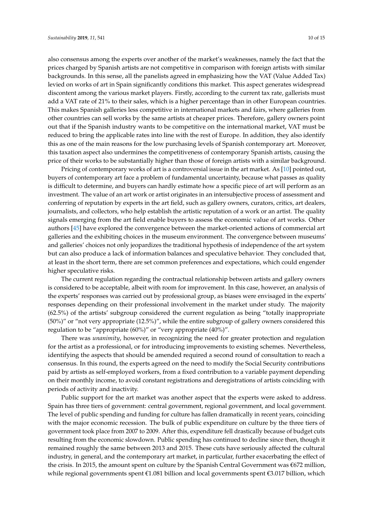also consensus among the experts over another of the market's weaknesses, namely the fact that the prices charged by Spanish artists are not competitive in comparison with foreign artists with similar backgrounds. In this sense, all the panelists agreed in emphasizing how the VAT (Value Added Tax) levied on works of art in Spain significantly conditions this market. This aspect generates widespread discontent among the various market players. Firstly, according to the current tax rate, gallerists must add a VAT rate of 21% to their sales, which is a higher percentage than in other European countries. This makes Spanish galleries less competitive in international markets and fairs, where galleries from other countries can sell works by the same artists at cheaper prices. Therefore, gallery owners point out that if the Spanish industry wants to be competitive on the international market, VAT must be reduced to bring the applicable rates into line with the rest of Europe. In addition, they also identify this as one of the main reasons for the low purchasing levels of Spanish contemporary art. Moreover, this taxation aspect also undermines the competitiveness of contemporary Spanish artists, causing the price of their works to be substantially higher than those of foreign artists with a similar background.

Pricing of contemporary works of art is a controversial issue in the art market. As [\[10\]](#page-13-9) pointed out, buyers of contemporary art face a problem of fundamental uncertainty, because what passes as quality is difficult to determine, and buyers can hardly estimate how a specific piece of art will perform as an investment. The value of an art work or artist originates in an intersubjective process of assessment and conferring of reputation by experts in the art field, such as gallery owners, curators, critics, art dealers, journalists, and collectors, who help establish the artistic reputation of a work or an artist. The quality signals emerging from the art field enable buyers to assess the economic value of art works. Other authors [\[45\]](#page-14-16) have explored the convergence between the market-oriented actions of commercial art galleries and the exhibiting choices in the museum environment. The convergence between museums' and galleries' choices not only jeopardizes the traditional hypothesis of independence of the art system but can also produce a lack of information balances and speculative behavior. They concluded that, at least in the short term, there are set common preferences and expectations, which could engender higher speculative risks.

The current regulation regarding the contractual relationship between artists and gallery owners is considered to be acceptable, albeit with room for improvement. In this case, however, an analysis of the experts' responses was carried out by professional group, as biases were envisaged in the experts' responses depending on their professional involvement in the market under study. The majority (62.5%) of the artists' subgroup considered the current regulation as being "totally inappropriate (50%)" or "not very appropriate (12.5%)", while the entire subgroup of gallery owners considered this regulation to be "appropriate (60%)" or "very appropriate (40%)".

There was *unanimity*, however, in recognizing the need for greater protection and regulation for the artist as a professional, or for introducing improvements to existing schemes. Nevertheless, identifying the aspects that should be amended required a second round of consultation to reach a consensus. In this round, the experts agreed on the need to modify the Social Security contributions paid by artists as self-employed workers, from a fixed contribution to a variable payment depending on their monthly income, to avoid constant registrations and deregistrations of artists coinciding with periods of activity and inactivity.

Public support for the art market was another aspect that the experts were asked to address. Spain has three tiers of government: central government, regional government, and local government. The level of public spending and funding for culture has fallen dramatically in recent years, coinciding with the major economic recession. The bulk of public expenditure on culture by the three tiers of government took place from 2007 to 2009. After this, expenditure fell drastically because of budget cuts resulting from the economic slowdown. Public spending has continued to decline since then, though it remained roughly the same between 2013 and 2015. These cuts have seriously affected the cultural industry, in general, and the contemporary art market, in particular, further exacerbating the effect of the crisis. In 2015, the amount spent on culture by the Spanish Central Government was  $\epsilon$ 672 million, while regional governments spent €1.081 billion and local governments spent €3.017 billion, which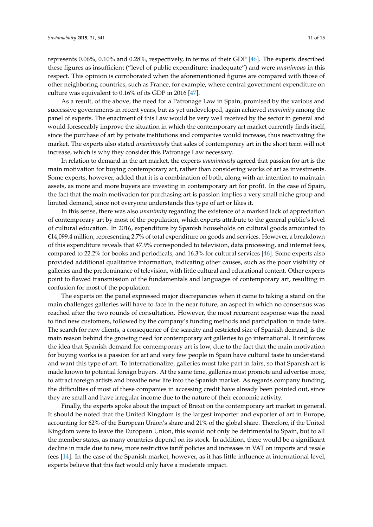represents 0.06%, 0.10% and 0.28%, respectively, in terms of their GDP [\[46\]](#page-14-17). The experts described these figures as insufficient ("level of public expenditure: inadequate") and were *unanimous* in this respect. This opinion is corroborated when the aforementioned figures are compared with those of other neighboring countries, such as France, for example, where central government expenditure on culture was equivalent to 0.16% of its GDP in 2016 [\[47\]](#page-14-18).

As a result, of the above, the need for a Patronage Law in Spain, promised by the various and successive governments in recent years, but as yet undeveloped, again achieved *unanimity* among the panel of experts. The enactment of this Law would be very well received by the sector in general and would foreseeably improve the situation in which the contemporary art market currently finds itself, since the purchase of art by private institutions and companies would increase, thus reactivating the market. The experts also stated *unanimously* that sales of contemporary art in the short term will not increase, which is why they consider this Patronage Law necessary.

In relation to demand in the art market, the experts *unanimously* agreed that passion for art is the main motivation for buying contemporary art, rather than considering works of art as investments. Some experts, however, added that it is a combination of both, along with an intention to maintain assets, as more and more buyers are investing in contemporary art for profit. In the case of Spain, the fact that the main motivation for purchasing art is passion implies a very small niche group and limited demand, since not everyone understands this type of art or likes it.

In this sense, there was also *unanimity* regarding the existence of a marked lack of appreciation of contemporary art by most of the population, which experts attribute to the general public's level of cultural education. In 2016, expenditure by Spanish households on cultural goods amounted to €14,099.4 million, representing 2.7% of total expenditure on goods and services. However, a breakdown of this expenditure reveals that 47.9% corresponded to television, data processing, and internet fees, compared to 22.2% for books and periodicals, and 16.3% for cultural services [\[46\]](#page-14-17). Some experts also provided additional qualitative information, indicating other causes, such as the poor visibility of galleries and the predominance of television, with little cultural and educational content. Other experts point to flawed transmission of the fundamentals and languages of contemporary art, resulting in confusion for most of the population.

The experts on the panel expressed major discrepancies when it came to taking a stand on the main challenges galleries will have to face in the near future, an aspect in which no consensus was reached after the two rounds of consultation. However, the most recurrent response was the need to find new customers, followed by the company's funding methods and participation in trade fairs. The search for new clients, a consequence of the scarcity and restricted size of Spanish demand, is the main reason behind the growing need for contemporary art galleries to go international. It reinforces the idea that Spanish demand for contemporary art is low, due to the fact that the main motivation for buying works is a passion for art and very few people in Spain have cultural taste to understand and want this type of art. To internationalize, galleries must take part in fairs, so that Spanish art is made known to potential foreign buyers. At the same time, galleries must promote and advertise more, to attract foreign artists and breathe new life into the Spanish market. As regards company funding, the difficulties of most of these companies in accessing credit have already been pointed out, since they are small and have irregular income due to the nature of their economic activity.

Finally, the experts spoke about the impact of Brexit on the contemporary art market in general. It should be noted that the United Kingdom is the largest importer and exporter of art in Europe, accounting for 62% of the European Union's share and 21% of the global share. Therefore, if the United Kingdom were to leave the European Union, this would not only be detrimental to Spain, but to all the member states, as many countries depend on its stock. In addition, there would be a significant decline in trade due to new, more restrictive tariff policies and increases in VAT on imports and resale fees [\[14\]](#page-13-13). In the case of the Spanish market, however, as it has little influence at international level, experts believe that this fact would only have a moderate impact.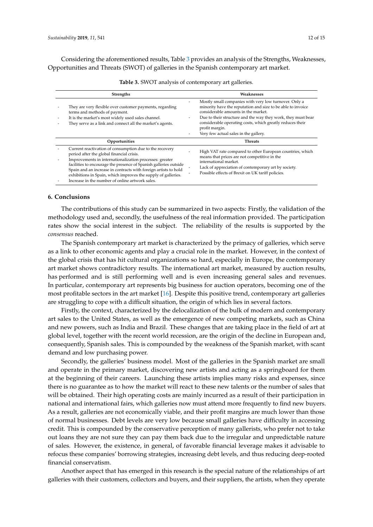Considering the aforementioned results, Table [3](#page-11-1) provides an analysis of the Strengths, Weaknesses, Opportunities and Threats (SWOT) of galleries in the Spanish contemporary art market.

|  | Table 3. SWOT analysis of contemporary art galleries. |
|--|-------------------------------------------------------|
|--|-------------------------------------------------------|

<span id="page-11-1"></span>

| <b>Strengths</b>                                                                                                                                                                                                                                                                                                                                                                                                            | Weaknesses                                                                                                                                                                                                                                                                                                                                          |
|-----------------------------------------------------------------------------------------------------------------------------------------------------------------------------------------------------------------------------------------------------------------------------------------------------------------------------------------------------------------------------------------------------------------------------|-----------------------------------------------------------------------------------------------------------------------------------------------------------------------------------------------------------------------------------------------------------------------------------------------------------------------------------------------------|
| They are very flexible over customer payments, regarding<br>terms and methods of payment.<br>It is the market's most widely used sales channel.<br>They serve as a link and connect all the market's agents.                                                                                                                                                                                                                | Mostly small companies with very low turnover. Only a<br>minority have the reputation and size to be able to invoice<br>considerable amounts in the market.<br>Due to their structure and the way they work, they must bear<br>considerable operating costs, which greatly reduces their<br>profit margin.<br>Very few actual sales in the gallery. |
| Opportunities                                                                                                                                                                                                                                                                                                                                                                                                               | <b>Threats</b>                                                                                                                                                                                                                                                                                                                                      |
| Current reactivation of consumption due to the recovery<br>period after the global financial crisis.<br>Improvements in internationalization processes: greater<br>facilities to encourage the presence of Spanish galleries outside<br>Spain and an increase in contracts with foreign artists to hold<br>exhibitions in Spain, which improves the supply of galleries.<br>Increase in the number of online artwork sales. | High VAT rate compared to other European countries, which<br>means that prices are not competitive in the<br>international market.<br>Lack of appreciation of contemporary art by society.<br>Possible effects of Brexit on UK tariff policies.                                                                                                     |

## <span id="page-11-0"></span>**6. Conclusions**

The contributions of this study can be summarized in two aspects: Firstly, the validation of the methodology used and, secondly, the usefulness of the real information provided. The participation rates show the social interest in the subject. The reliability of the results is supported by the *consensus* reached.

The Spanish contemporary art market is characterized by the primacy of galleries, which serve as a link to other economic agents and play a crucial role in the market. However, in the context of the global crisis that has hit cultural organizations so hard, especially in Europe, the contemporary art market shows contradictory results. The international art market, measured by auction results, has performed and is still performing well and is even increasing general sales and revenues. In particular, contemporary art represents big business for auction operators, becoming one of the most profitable sectors in the art market [\[16\]](#page-13-15). Despite this positive trend, contemporary art galleries are struggling to cope with a difficult situation, the origin of which lies in several factors.

Firstly, the context, characterized by the delocalization of the bulk of modern and contemporary art sales to the United States, as well as the emergence of new competing markets, such as China and new powers, such as India and Brazil. These changes that are taking place in the field of art at global level, together with the recent world recession, are the origin of the decline in European and, consequently, Spanish sales. This is compounded by the weakness of the Spanish market, with scant demand and low purchasing power.

Secondly, the galleries' business model. Most of the galleries in the Spanish market are small and operate in the primary market, discovering new artists and acting as a springboard for them at the beginning of their careers. Launching these artists implies many risks and expenses, since there is no guarantee as to how the market will react to these new talents or the number of sales that will be obtained. Their high operating costs are mainly incurred as a result of their participation in national and international fairs, which galleries now must attend more frequently to find new buyers. As a result, galleries are not economically viable, and their profit margins are much lower than those of normal businesses. Debt levels are very low because small galleries have difficulty in accessing credit. This is compounded by the conservative perception of many gallerists, who prefer not to take out loans they are not sure they can pay them back due to the irregular and unpredictable nature of sales. However, the existence, in general, of favorable financial leverage makes it advisable to refocus these companies' borrowing strategies, increasing debt levels, and thus reducing deep-rooted financial conservatism.

Another aspect that has emerged in this research is the special nature of the relationships of art galleries with their customers, collectors and buyers, and their suppliers, the artists, when they operate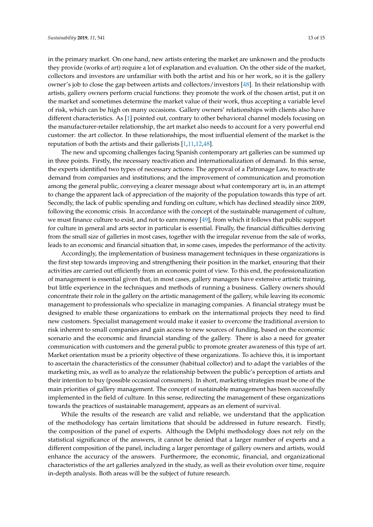in the primary market. On one hand, new artists entering the market are unknown and the products they provide (works of art) require a lot of explanation and evaluation. On the other side of the market,

collectors and investors are unfamiliar with both the artist and his or her work, so it is the gallery owner's job to close the gap between artists and collectors/investors [\[48\]](#page-14-19). In their relationship with artists, gallery owners perform crucial functions: they promote the work of the chosen artist, put it on the market and sometimes determine the market value of their work, thus accepting a variable level of risk, which can be high on many occasions. Gallery owners' relationships with clients also have different characteristics. As [\[1\]](#page-13-0) pointed out, contrary to other behavioral channel models focusing on the manufacturer-retailer relationship, the art market also needs to account for a very powerful end customer: the art collector. In these relationships, the most influential element of the market is the reputation of both the artists and their gallerists [\[1](#page-13-0)[,11](#page-13-10)[,12](#page-13-11)[,48\]](#page-14-19).

The new and upcoming challenges facing Spanish contemporary art galleries can be summed up in three points. Firstly, the necessary reactivation and internationalization of demand. In this sense, the experts identified two types of necessary actions: The approval of a Patronage Law, to reactivate demand from companies and institutions; and the improvement of communication and promotion among the general public, conveying a clearer message about what contemporary art is, in an attempt to change the apparent lack of appreciation of the majority of the population towards this type of art. Secondly, the lack of public spending and funding on culture, which has declined steadily since 2009, following the economic crisis. In accordance with the concept of the sustainable management of culture, we must finance culture to exist, and not to earn money [\[49\]](#page-14-20), from which it follows that public support for culture in general and arts sector in particular is essential. Finally, the financial difficulties deriving from the small size of galleries in most cases, together with the irregular revenue from the sale of works, leads to an economic and financial situation that, in some cases, impedes the performance of the activity.

Accordingly, the implementation of business management techniques in these organizations is the first step towards improving and strengthening their position in the market, ensuring that their activities are carried out efficiently from an economic point of view. To this end, the professionalization of management is essential given that, in most cases, gallery managers have extensive artistic training, but little experience in the techniques and methods of running a business. Gallery owners should concentrate their role in the gallery on the artistic management of the gallery, while leaving its economic management to professionals who specialize in managing companies. A financial strategy must be designed to enable these organizations to embark on the international projects they need to find new customers. Specialist management would make it easier to overcome the traditional aversion to risk inherent to small companies and gain access to new sources of funding, based on the economic scenario and the economic and financial standing of the gallery. There is also a need for greater communication with customers and the general public to promote greater awareness of this type of art. Market orientation must be a priority objective of these organizations. To achieve this, it is important to ascertain the characteristics of the consumer (habitual collector) and to adapt the variables of the marketing mix, as well as to analyze the relationship between the public's perception of artists and their intention to buy (possible occasional consumers). In short, marketing strategies must be one of the main priorities of gallery management. The concept of sustainable management has been successfully implemented in the field of culture. In this sense, redirecting the management of these organizations towards the practices of sustainable management, appears as an element of survival.

While the results of the research are valid and reliable, we understand that the application of the methodology has certain limitations that should be addressed in future research. Firstly, the composition of the panel of experts. Although the Delphi methodology does not rely on the statistical significance of the answers, it cannot be denied that a larger number of experts and a different composition of the panel, including a larger percentage of gallery owners and artists, would enhance the accuracy of the answers. Furthermore, the economic, financial, and organizational characteristics of the art galleries analyzed in the study, as well as their evolution over time, require in-depth analysis. Both areas will be the subject of future research.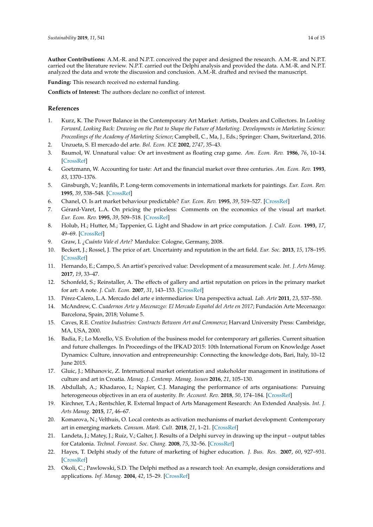**Author Contributions:** A.M.-R. and N.P.T. conceived the paper and designed the research. A.M.-R. and N.P.T. carried out the literature review. N.P.T. carried out the Delphi analysis and provided the data. A.M.-R. and N.P.T. analyzed the data and wrote the discussion and conclusion. A.M.-R. drafted and revised the manuscript.

**Funding:** This research received no external funding.

**Conflicts of Interest:** The authors declare no conflict of interest.

# **References**

- <span id="page-13-0"></span>1. Kurz, K. The Power Balance in the Contemporary Art Market: Artists, Dealers and Collectors. In *Looking Forward, Looking Back: Drawing on the Past to Shape the Future of Marketing. Developments in Marketing Science: Proceedings of the Academy of Marketing Science*; Campbell, C., Ma, J., Eds.; Springer: Cham, Switzerland, 2016.
- <span id="page-13-1"></span>2. Unzueta, S. El mercado del arte. *Bol. Econ. ICE* **2002**, *2747*, 35–43.
- <span id="page-13-2"></span>3. Baumol, W. Unnatural value: Or art investment as floating crap game. *Am. Econ. Rev.* **1986**, *76*, 10–14. [\[CrossRef\]](http://dx.doi.org/10.1080/07335113.1985.9942162)
- <span id="page-13-3"></span>4. Goetzmann, W. Accounting for taste: Art and the financial market over three centuries. *Am. Econ. Rev.* **1993**, *83*, 1370–1376.
- <span id="page-13-4"></span>5. Ginsburgh, V.; Jeanfils, P. Long-term comovements in international markets for paintings. *Eur. Econ. Rev.* **1995**, *39*, 538–548. [\[CrossRef\]](http://dx.doi.org/10.1016/0014-2921(94)00060-D)
- <span id="page-13-5"></span>6. Chanel, O. Is art market behaviour predictable? *Eur. Econ. Rev.* **1995**, *39*, 519–527. [\[CrossRef\]](http://dx.doi.org/10.1016/0014-2921(94)00058-8)
- <span id="page-13-6"></span>7. Gérard-Varet, L.A. On pricing the priceless: Comments on the economics of the visual art market. *Eur. Econ. Rev.* **1995**, *39*, 509–518. [\[CrossRef\]](http://dx.doi.org/10.1016/0014-2921(94)00057-7)
- <span id="page-13-7"></span>8. Holub, H.; Hutter, M.; Tappenier, G. Light and Shadow in art price computation. *J. Cult. Econ.* **1993**, *17*, 49–69. [\[CrossRef\]](http://dx.doi.org/10.1007/BF00820767)
- <span id="page-13-8"></span>9. Graw, I. *¿Cuánto Vale el Arte?* Mardulce: Cologne, Germany, 2008.
- <span id="page-13-9"></span>10. Beckert, J.; Rossel, J. The price of art. Uncertainty and reputation in the art field. *Eur. Soc.* **2013**, *15*, 178–195. [\[CrossRef\]](http://dx.doi.org/10.1080/14616696.2013.767923)
- <span id="page-13-10"></span>11. Hernando, E.; Campo, S. An artist's perceived value: Development of a measurement scale. *Int. J. Arts Manag.* **2017**, *19*, 33–47.
- <span id="page-13-11"></span>12. Schonfeld, S.; Reinstaller, A. The effects of gallery and artist reputation on prices in the primary market for art: A note. *J. Cult. Econ.* **2007**, *31*, 143–153. [\[CrossRef\]](http://dx.doi.org/10.1007/s10824-007-9031-1)
- <span id="page-13-12"></span>13. Pérez-Calero, L.A. Mercado del arte e intermediarios: Una perspectiva actual. *Lab. Arte* **2011**, *23*, 537–550.
- <span id="page-13-13"></span>14. McAndrew, C. *Cuadernos Arte y Mecenazgo: El Mercado Español del Arte en 2017*; Fundación Arte Mecenazgo: Barcelona, Spain, 2018; Volume 5.
- <span id="page-13-14"></span>15. Caves, R.E. *Creative Industries: Contracts Between Art and Commerce*; Harvard University Press: Cambridge, MA, USA, 2000.
- <span id="page-13-15"></span>16. Badia, F.; Lo Morello, V.S. Evolution of the business model for contemporary art galleries. Current situation and future challenges. In Proceedings of the IFKAD 2015: 10th International Forum on Knowledge Asset Dynamics: Culture, innovation and entrepreneurship: Connecting the knowledge dots, Bari, Italy, 10–12 June 2015.
- <span id="page-13-16"></span>17. Gluic, J.; Mihanovic, Z. International market orientation and stakeholder management in institutions of culture and art in Croatia. *Manag. J. Contemp. Manag. Issues* **2016**, *21*, 105–130.
- <span id="page-13-17"></span>18. Abdullah, A.; Khadaroo, I.; Napier, C.J. Managing the performance of arts organisations: Pursuing heterogeneous objectives in an era of austerity. *Br. Account. Rev.* **2018**, *50*, 174–184. [\[CrossRef\]](http://dx.doi.org/10.1016/j.bar.2017.10.001)
- <span id="page-13-18"></span>19. Kirchner, T.A.; Rentschler, R. External Impact of Arts Management Research: An Extended Analysis. *Int. J. Arts Manag.* **2015**, *17*, 46–67.
- <span id="page-13-19"></span>20. Komarova, N.; Velthuis, O. Local contexts as activation mechanisms of market development: Contemporary art in emerging markets. *Consum. Mark. Cult.* **2018**, *21*, 1–21. [\[CrossRef\]](http://dx.doi.org/10.1080/10253866.2017.1284065)
- <span id="page-13-20"></span>21. Landeta, J.; Matey, J.; Ruíz, V.; Galter, J. Results of a Delphi survey in drawing up the input – output tables for Catalonia. *Technol. Forecast. Soc. Chang.* **2008**, *75*, 32–56. [\[CrossRef\]](http://dx.doi.org/10.1016/j.techfore.2007.01.005)
- <span id="page-13-21"></span>22. Hayes, T. Delphi study of the future of marketing of higher education. *J. Bus. Res.* **2007**, *60*, 927–931. [\[CrossRef\]](http://dx.doi.org/10.1016/j.jbusres.2006.12.009)
- <span id="page-13-22"></span>23. Okoli, C.; Pawlowski, S.D. The Delphi method as a research tool: An example, design considerations and applications. *Inf. Manag.* **2004**, *42*, 15–29. [\[CrossRef\]](http://dx.doi.org/10.1016/j.im.2003.11.002)